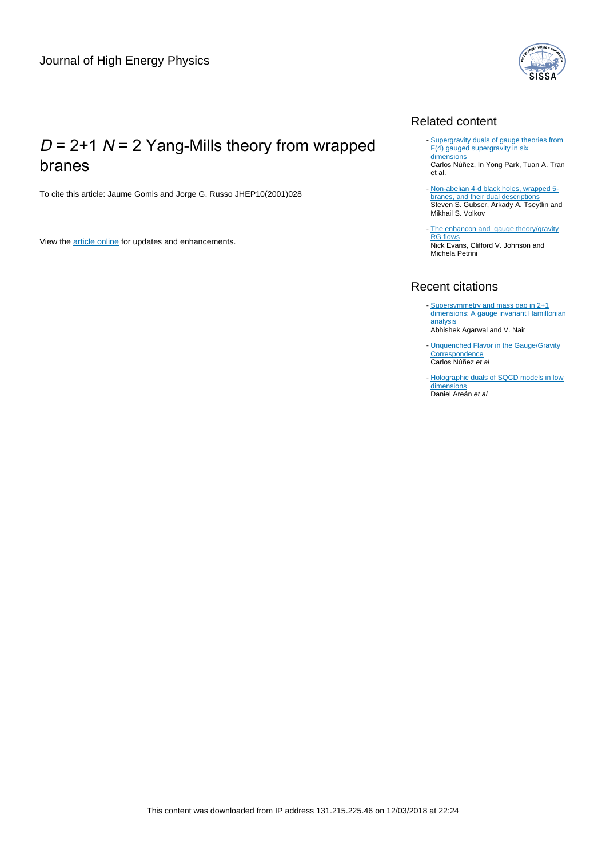

# $D = 2+1$  N = 2 Yang-Mills theory from wrapped branes

To cite this article: Jaume Gomis and Jorge G. Russo JHEP10(2001)028

View the [article online](https://doi.org/10.1088/1126-6708/2001/10/028) for updates and enhancements.

### Related content

- [Supergravity duals of gauge theories from](http://iopscience.iop.org/article/10.1088/1126-6708/2001/04/025) [F\(4\) gauged supergravity in six](http://iopscience.iop.org/article/10.1088/1126-6708/2001/04/025) [dimensions](http://iopscience.iop.org/article/10.1088/1126-6708/2001/04/025) Carlos Núñez, In Yong Park, Tuan A. Tran
- et al. - [Non-abelian 4-d black holes, wrapped 5](http://iopscience.iop.org/article/10.1088/1126-6708/2001/09/017) [branes, and their dual descriptions](http://iopscience.iop.org/article/10.1088/1126-6708/2001/09/017)
- Steven S. Gubser, Arkady A. Tseytlin and Mikhail S. Volkov
- [The enhancon and](http://iopscience.iop.org/article/10.1088/1126-6708/2000/10/022) [gauge theory/gravity](http://iopscience.iop.org/article/10.1088/1126-6708/2000/10/022) [RG flows](http://iopscience.iop.org/article/10.1088/1126-6708/2000/10/022) **NIG INGRES**<br>Nick Evans, Clifford V. Johnson and Michela Petrini

### Recent citations

- [Supersymmetry and mass gap in 2+1](http://dx.doi.org/10.1103/PhysRevD.85.085011) [dimensions: A gauge invariant Hamiltonian](http://dx.doi.org/10.1103/PhysRevD.85.085011) [analysis](http://dx.doi.org/10.1103/PhysRevD.85.085011) Abhishek Agarwal and V. Nair
- [Unquenched Flavor in the Gauge/Gravity](http://dx.doi.org/10.1155/2010/196714) **[Correspondence](http://dx.doi.org/10.1155/2010/196714)** Carlos Núñez et al
- [Holographic duals of SQCD models in low](http://dx.doi.org/10.1007/JHEP06(2010)095) [dimensions](http://dx.doi.org/10.1007/JHEP06(2010)095) Daniel Areán et al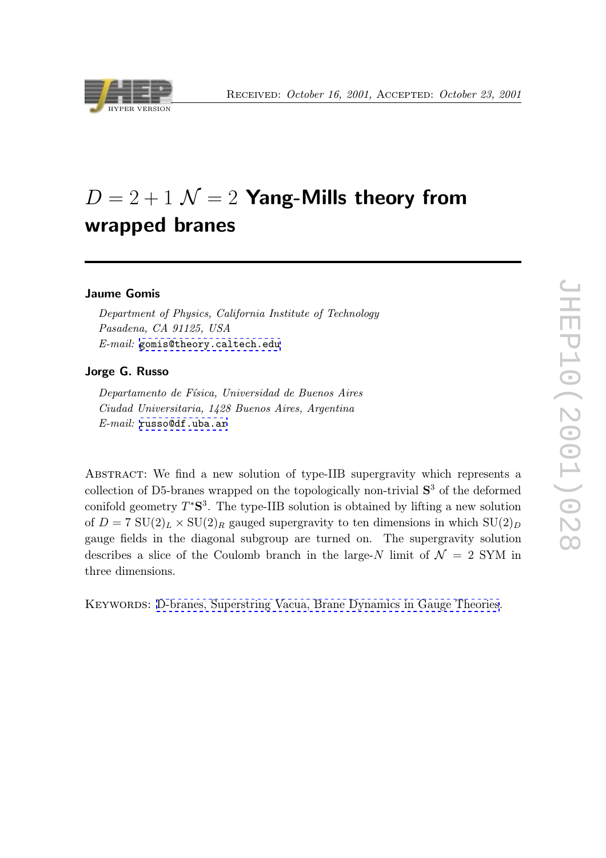

# $D = 2 + 1$   $\mathcal{N} = 2$  Yang-Mills theory from wrapped branes

#### Jaume Gomis

Department of Physics, California Institute of Technology Pasadena, CA 91125, USA E-mail: [gomis@theory.caltech.edu](mailto:gomis@theory.caltech.edu)

#### Jorge G. Russo

Departamento de Física, Universidad de Buenos Aires Ciudad Universitaria, 1428 Buenos Aires, Argentina  $E\text{-}mail:$  [russo@df.uba.ar](mailto:russo@df.uba.ar)

Abstract: We find a new solution of type-IIB supergravity which represents a collection of D5-branes wrapped on the topologically non-trivial  $S<sup>3</sup>$  of the deformed conifold geometry  $T^{\ast}S^3$ . The type-IIB solution is obtained by lifting a new solution of  $D = 7 \text{ SU}(2)_L \times \text{SU}(2)_R$  gauged supergravity to ten dimensions in which  $\text{SU}(2)_D$ gauge fields in the diagonal subgroup are turned on. The supergravity solution describes a slice of the Coulomb branch in the large-N limit of  $\mathcal{N} = 2$  SYM in three dimensions.

Keywords: [D-branes, Superstring Vacua, Brane Dynamics in Gauge Theories](http://jhep.sissa.it/stdsearch?keywords=D-branes+Superstring_Vacua+Brane_Dynamics_in_Gauge Theories).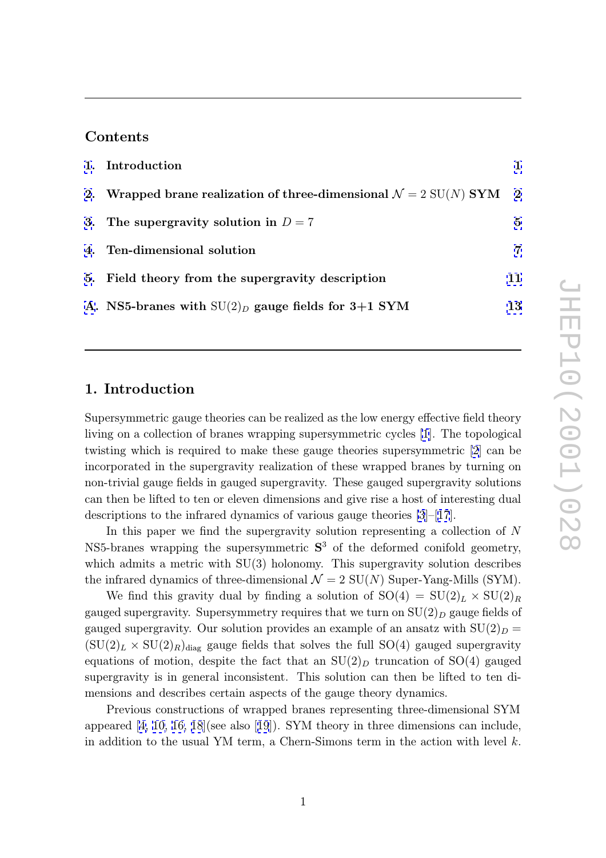### Contents

| 1. Introduction                                                               |    |
|-------------------------------------------------------------------------------|----|
| 2. Wrapped brane realization of three-dimensional $\mathcal{N}=2$ SU(N) SYM 2 |    |
| 3. The supergravity solution in $D=7$                                         | 5  |
| 4. Ten-dimensional solution                                                   | 7  |
| 5. Field theory from the supergravity description                             | 11 |
| A. NS5-branes with $SU(2)_D$ gauge fields for 3+1 SYM                         | 13 |

### 1. Introduction

Supersymmetric gauge theories can be realized as the low energy effective field theory living on a collection of branes wrapping supersymmetric cycles [\[1](#page-16-0)]. The topological twisting which is required to make these gauge theories supersymmetric [\[2](#page-16-0)] can be incorporated in the supergravity realization of these wrapped branes by turning on non-trivial gauge fields in gauged supergravity. These gauged supergravity solutions can then be lifted to ten or eleven dimensions and give rise a host of interesting dual descriptions to the infrared dynamics of various gauge theories [\[3](#page-16-0)]–[[17](#page-17-0)].

In this paper we find the supergravity solution representing a collection of N NS5-branes wrapping the supersymmetric  $S<sup>3</sup>$  of the deformed conifold geometry, which admits a metric with  $SU(3)$  holonomy. This supergravity solution describes the infrared dynamics of three-dimensional  $\mathcal{N}=2$  SU(N) Super-Yang-Mills (SYM).

We find this gravity dual by finding a solution of  $SO(4) = SU(2)_L \times SU(2)$ gauged supergravity. Supersymmetry requires that we turn on  $SU(2)_D$  gauge fields of gauged supergravity. Our solution provides an example of an ansatz with  $SU(2)_D =$  $SU(2)_L \times SU(2)_R$ <sub>diag</sub> gauge fields that solves the full SO(4) gauged supergravity equations of motion, despite the fact that an  $SU(2)_D$  truncation of  $SO(4)$  gauged supergravity is in general inconsistent. This solution can then be lifted to ten dimensions and describes certain aspects of the gauge theory dynamics.

Previous constructions of wrapped branes representing three-dimensional SYM appeared [[4, 10,](#page-16-0) [16, 18](#page-17-0)](see also [[19](#page-17-0)]). SYM theory in three dimensions can include, in addition to the usual YM term, a Chern-Simons term in the action with level k .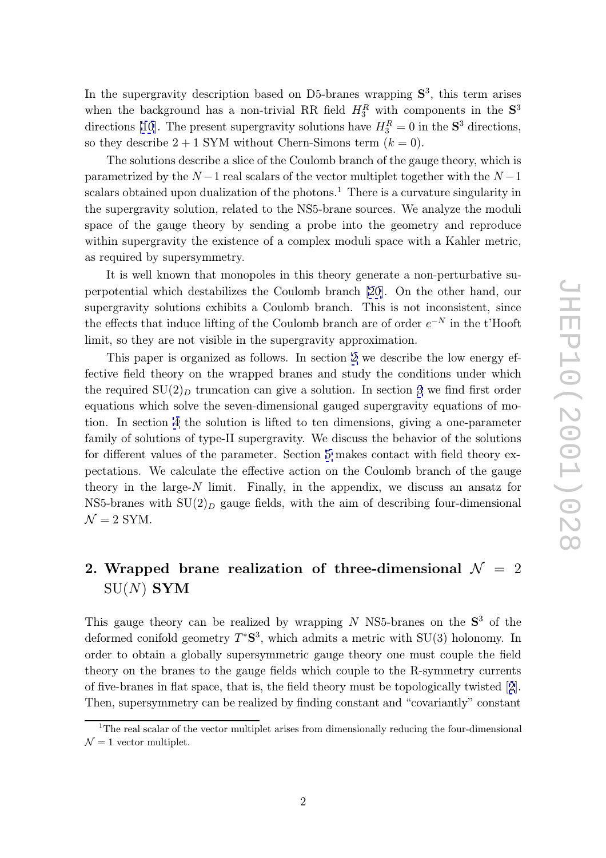<span id="page-3-0"></span>In the supergravity description based on D5-branes wrapping  $S<sup>3</sup>$ , this term arises when the background has a non-trivial RR field  $H_3^R$  with components in the  $S^3$ directions [\[10](#page-16-0)]. The present supergravity solutions have  $H_3^R = 0$  in the  $S^3$  directions, so they describe  $2+1$  SYM without Chern-Simons term  $(k=0)$ .

The solutions describe a slice of the Coulomb branch of the gauge theory, which is  $\frac{1}{2}$  parametrized by the  $N-1$  real scalars of the vector multiplet together with the  $N-1$ scalars obtained upon dualization of the photons.<sup>1</sup> There is a curvature singularity in the supergravity solution, related to the NS5-brane sources. We analyze the moduli space of the gauge theory by sending a probe into the geometry and reproduce within supergravity the existence of a complex moduli space with a Kahler metric, as required by supersymmetry.

It is well known that monopoles in this theory generate a non-perturbative superpotential which destabilizes the Coulomb branch [\[20\]](#page-17-0). On the other hand, our supergravity solutions exhibits a Coulomb branch. This is not inconsistent, since the effects that induce lifting of the Coulomb branch are of order  $e^{-N}$  in the t'Hooft limit, so they are not visible in the supergravity approximation.

This paper is organized as follows. In section 2 we describe the low energy effective field theory on the wrapped branes and study the conditions under which the required  $SU(2)_D$  truncation can give a solution. In section [3](#page-6-0) we find first order equations which solve the seven-dimensional gauged supergravity equations of motion. In section [4](#page-8-0) the solution is lifted to ten dimensions, giving a one-parameter family of solutions of type-II supergravity. We discuss the behavior of the solutions for different values of the parameter. Section [5](#page-12-0) makes contact with field theory expectations. We calculate the effective action on the Coulomb branch of the gauge theory in the large-N limit. Finally, in the appendix, we discuss an ansatz for NS5-branes with  $SU(2)_D$  gauge fields, with the aim of describing four-dimensional  $\mathcal{N}=2$  SYM.

# 2. Wrapped brane realization of three-dimensional  ${\cal N}~=~2$  $\mathrm{SU}(N)$   $\mathbf{SYM}$

This gauge theory can be realized by wrapping  $N$  NS5-branes on the  $S<sup>3</sup>$  of the deformed conifold geometry  $T^*S^3$ , which admits a metric with  $SU(3)$  holonomy. In order to obtain a globally supersymmetric gauge theory one must couple the field theory on the branes to the gauge fields which couple to the R-symmetry currents of five-branes in flat space, that is, the field theory must be topologically twisted [[2](#page-16-0)]. Then, supersymmetry can be realized by finding constant and "covariantly" constant

<sup>&</sup>lt;sup>1</sup>The real scalar of the vector multiplet arises from dimensionally reducing the four-dimensional  $\mathcal{N}=1$  vector multiplet.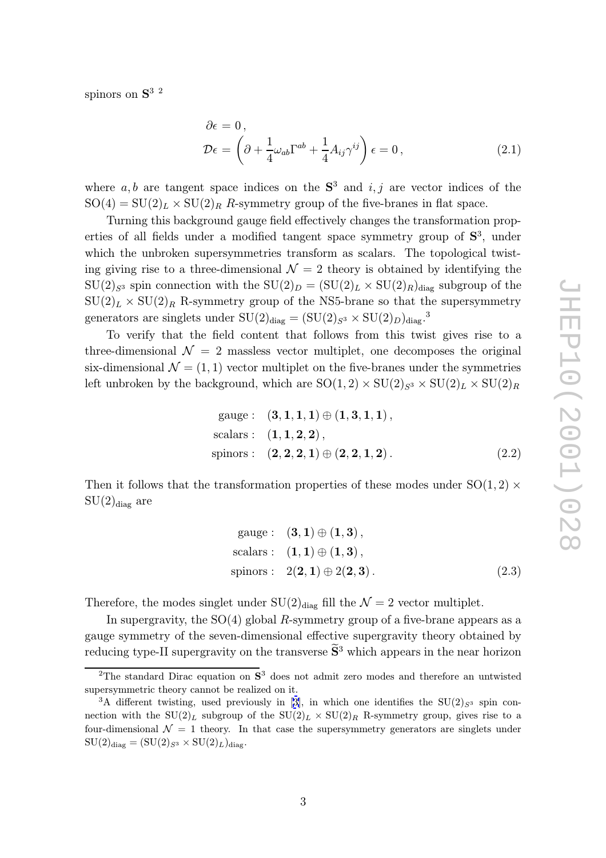<span id="page-4-0"></span>spinors on  $S^{3}$  <sup>2</sup>

$$
\partial \epsilon = 0, \n\mathcal{D}\epsilon = \left(\partial + \frac{1}{4}\omega_{ab}\Gamma^{ab} + \frac{1}{4}A_{ij}\gamma^{ij}\right)\epsilon = 0,
$$
\n(2.1)

where  $a, b$  are tangent space indices on the  $S^3$  and  $i, j$  are vector indices of the  $SO(4) = SU(2)_L \times SU(2)_R$  R-symmetry group of the five-branes in flat space.

Turning this background gauge field effectively changes the transformation properties of all fields under a modified tangent space symmetry group of  $S<sup>3</sup>$ , under which the unbroken supersymmetries transform as scalars. The topological twisting giving rise to a three-dimensional  $\mathcal{N}=2$  theory is obtained by identifying the  $SU(2)_{S^3}$  spin connection with the  $SU(2)_D = (SU(2)_L \times SU(2)_R)_{\text{diag}}$  subgroup of the  $SU(2)_L \times SU(2)_R$  R-symmetry group of the NS5-brane so that the supersymmetry generators are singlets under  $SU(2)_{diag} = (SU(2)_{S^3} \times SU(2)_D)_{diag}$ .

To verify that the field content that follows from this twist gives rise to a three-dimensional  $\mathcal{N} = 2$  massless vector multiplet, one decomposes the original six-dimensional  $\mathcal{N} = (1, 1)$  vector multiplet on the five-branes under the symmetries left unbroken by the background, which are  $SO(1,2) \times SU(2)_{S^3} \times SU(2)_L \times SU(2)$ 

gauge: 
$$
(3, 1, 1, 1) \oplus (1, 3, 1, 1)
$$
,  
scalars:  $(1, 1, 2, 2)$ ,  
spinors:  $(2, 2, 2, 1) \oplus (2, 2, 1, 2)$ . (2.2)

Then it follows that the transformation properties of these modes under  $SO(1,2)$  ×  $SU(2)_{diag}$  are

gauge : 
$$
(3, 1) \oplus (1, 3)
$$
,  
scalars :  $(1, 1) \oplus (1, 3)$ ,  
spinors :  $2(2, 1) \oplus 2(2, 3)$ . (2.3)

Therefore, the modes singlet under  $SU(2)_{diag}$  fill the  $\mathcal{N}=2$  vector multiplet.

In supergravity, the  $SO(4)$  global R-symmetry group of a five-brane appears as a gauge symmetry of the seven-dimensional effective supergravity theory obtained by reducing type-II supergravity on the transverse  $\tilde{S}^3$  which appears in the near horizon

<sup>&</sup>lt;sup>2</sup>The standard Dirac equation on  $S^3$  does not admit zero modes and therefore an untwisted S supersymmetric theory cannot be realized on it.

<sup>&</sup>lt;sup>3</sup>A different twisting, used previously in [[3\]](#page-16-0), in which one identifies the  $SU(2)_{S^3}$  spin connection with the  $SU(2)_L$  subgroup of the  $SU(2)_L \times SU(2)_R$  R-symmetry group, gives rise to a four-dimensional  $\mathcal{N} = 1$  theory. In that case the supersymmetry generators are singlets under  $\mathrm{SU}(2)_\text{diag} = (\mathrm{SU}(2)_{S^3} \times \mathrm{SU}(2)_L)_\text{diag}.$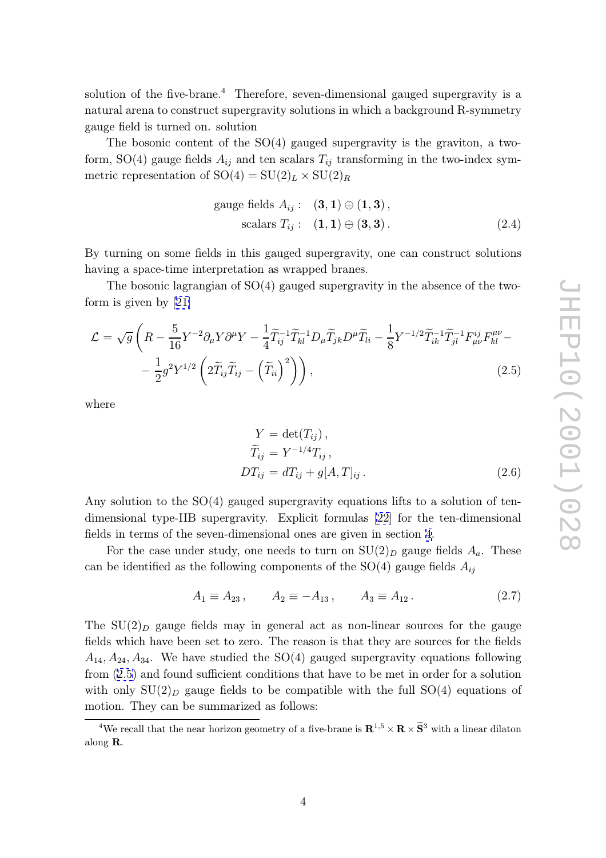<span id="page-5-0"></span>solution of the five-brane.<sup>4</sup> Therefore, seven-dimensional gauged supergravity is a natural arena to construct supergravity solutions in which a background R-symmetry gauge field is turned on. solution

The bosonic content of the  $SO(4)$  gauged supergravity is the graviton, a twoform, SO(4) gauge fields  $A_{ij}$  and ten scalars  $T_{ij}$  transforming in the two-index symmetric representation of  $SO(4) = SU(2)_L \times SU(2)_R$ 

gauge fields 
$$
A_{ij}
$$
:  $(\mathbf{3}, \mathbf{1}) \oplus (\mathbf{1}, \mathbf{3}),$   
scalars  $T_{ij}$ :  $(\mathbf{1}, \mathbf{1}) \oplus (\mathbf{3}, \mathbf{3}).$  (2.4)

By turning on some fields in this gauged supergravity, one can construct solutions having a space-time interpretation as wrapped branes.

The bosonic lagrangian of  $SO(4)$  gauged supergravity in the absence of the twoform is given by [[21\]](#page-17-0)

$$
\mathcal{L} = \sqrt{g} \left( R - \frac{5}{16} Y^{-2} \partial_{\mu} Y \partial^{\mu} Y - \frac{1}{4} \widetilde{T}_{ij}^{-1} \widetilde{T}_{kl}^{-1} D_{\mu} \widetilde{T}_{jk} D^{\mu} \widetilde{T}_{li} - \frac{1}{8} Y^{-1/2} \widetilde{T}_{ik}^{-1} \widetilde{T}_{jl}^{-1} F_{\mu\nu}^{ij} F_{kl}^{\mu\nu} - \frac{1}{2} g^2 Y^{1/2} \left( 2 \widetilde{T}_{ij} \widetilde{T}_{ij} - \left( \widetilde{T}_{ii} \right)^2 \right) \right), \tag{2.5}
$$

where

$$
Y = \det(T_{ij}),
$$
  
\n
$$
\widetilde{T}_{ij} = Y^{-1/4} T_{ij},
$$
  
\n
$$
DT_{ij} = dT_{ij} + g[A, T]_{ij}.
$$
\n(2.6)

Any solution to the  $SO(4)$  gauged supergravity equations lifts to a solution of tendimensional type-IIB supergravity. Explicit formulas [\[22](#page-17-0)] for the ten-dimensional fields in terms of the seven-dimensional ones are given in section [4.](#page-8-0)

For the case under study, one needs to turn on  $SU(2)_D$  gauge fields  $A_a$ . These can be identified as the following components of the  $SO(4)$  gauge fields  $A_{ij}$ 

$$
A_1 \equiv A_{23}, \qquad A_2 \equiv -A_{13}, \qquad A_3 \equiv A_{12}. \tag{2.7}
$$

The  $SU(2)_D$  gauge fields may in general act as non-linear sources for the gauge fields which have been set to zero. The reason is that they are sources for the fields  $A_{14}, A_{24}, A_{34}$ . We have studied the SO(4) gauged supergravity equations following from (2.5) and found sufficient conditions that have to be met in order for a solution with only  $SU(2)_D$  gauge fields to be compatible with the full  $SO(4)$  equations of motion. They can be summarized as follows:

<sup>&</sup>lt;sup>4</sup>We recall that the near horizon geometry of a five-brane is **R**  $^{1,5} \times \mathbf{R} \times \widetilde{\mathbf{S}}^3$  with a linear dilaton along R .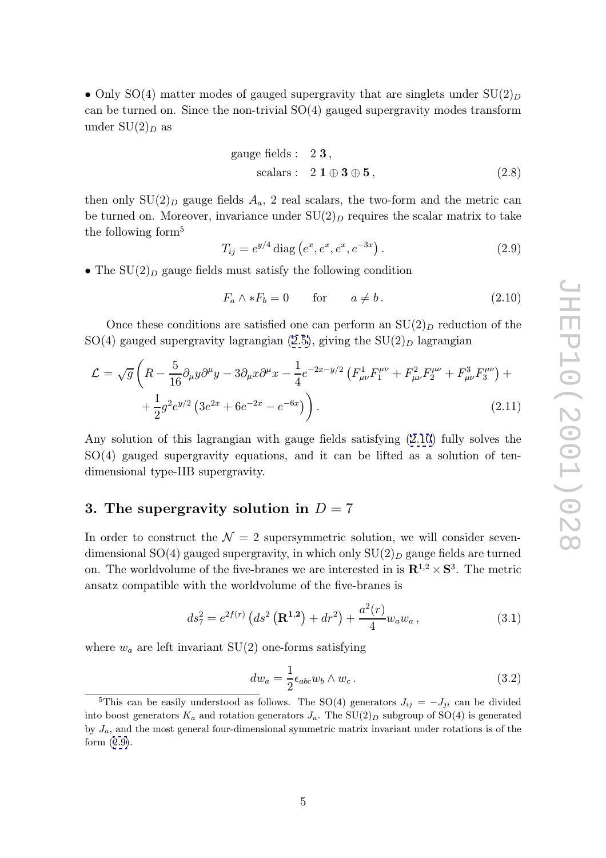<span id="page-6-0"></span>• Only SO(4) matter modes of gauged supergravity that are singlets under  $SU(2)_D$ can be turned on. Since the non-trivial  $SO(4)$  gauged supergravity modes transform under  $\mathrm{SU}(2)_D$  as

gauge fields: 2 3,  
scalars: 2 1 
$$
\oplus
$$
 3  $\oplus$  5, (2.8)

then only  $SU(2)_D$  gauge fields  $A_a$ , 2 real scalars, the two-form and the metric can be turned on. Moreover, invariance under  $SU(2)_D$  requires the scalar matrix to take the following form 5

$$
T_{ij} = e^{y/4} \operatorname{diag} \left( e^x, e^x, e^x, e^{-3x} \right). \tag{2.9}
$$

• The  $SU(2)_D$  gauge fields must satisfy the following condition

$$
F_a \wedge *F_b = 0 \qquad \text{for} \qquad a \neq b \,. \tag{2.10}
$$

Once these conditions are satisfied one can perform an  $SU(2)_D$  reduction of the  $SO(4)$  gauged supergravity lagrangian  $(2.5)$  $(2.5)$ , giving the  $SU(2)_D$  lagrangian

$$
\mathcal{L} = \sqrt{g} \left( R - \frac{5}{16} \partial_{\mu} y \partial^{\mu} y - 3 \partial_{\mu} x \partial^{\mu} x - \frac{1}{4} e^{-2x - y/2} \left( F_{\mu\nu}^{1} F_{1}^{\mu\nu} + F_{\mu\nu}^{2} F_{2}^{\mu\nu} + F_{\mu\nu}^{3} F_{3}^{\mu\nu} \right) + \frac{1}{2} g^{2} e^{y/2} \left( 3 e^{2x} + 6 e^{-2x} - e^{-6x} \right) \right). \tag{2.11}
$$

Any solution of this lagrangian with gauge fields satisfying (2.10) fully solves the SO(4) gauged supergravity equations, and it can be lifted as a solution of tendimensional type-IIB supergravity.

### 3. The supergravity solution in  $D = 7$

In order to construct the  $\mathcal{N}=2$  supersymmetric solution, we will consider sevendimensional SO(4) gauged supergravity, in which only  $SU(2)_D$  gauge fields are turned on. The worldvolume of the five-branes we are interested in is  $\mathbb{R}^{1,2} \times \mathbb{S}^3$ . The metric ansatz compatible with the worldvolume of the five-branes is

$$
ds_7^2 = e^{2f(r)} \left( ds^2 \left( \mathbf{R}^{1,2} \right) + dr^2 \right) + \frac{a^2(r)}{4} w_a w_a , \qquad (3.1)
$$

where  $w_a$  are left invariant  $SU(2)$  one-forms satisfying

$$
dw_a = \frac{1}{2} \epsilon_{abc} w_b \wedge w_c \,. \tag{3.2}
$$

<sup>&</sup>lt;sup>5</sup>This can be easily understood as follows. The SO(4) generators  $J_{ij} = -J_{ji}$  can be divided into boost generators  $K_a$  and rotation generators  $J_a$ . The  $SU(2)_D$  subgroup of  $SO(4)$  is generated by Ja, and the most general four-dimensional symmetric matrix invariant under rotations is of the form (2.9).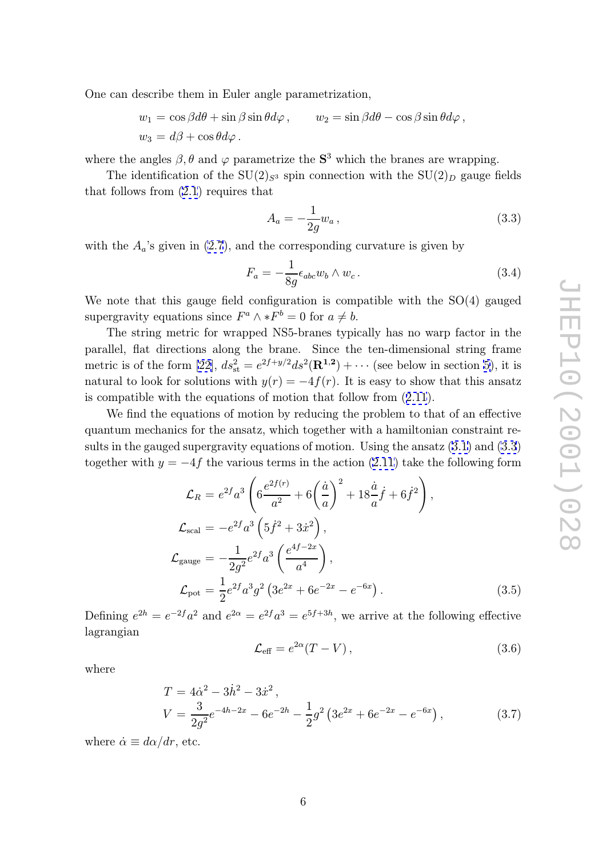<span id="page-7-0"></span>One can describe them in Euler angle parametrization,

$$
w_1 = \cos \beta d\theta + \sin \beta \sin \theta d\varphi, \qquad w_2 = \sin \beta d\theta - \cos \beta \sin \theta d\varphi,
$$
  

$$
w_3 = d\beta + \cos \theta d\varphi.
$$

where the angles  $\beta$ ,  $\theta$  and  $\varphi$  parametrize the  $S^3$  which the branes are wrapping.

The identification of the  $SU(2)_{S^3}$  spin connection with the  $SU(2)_D$  gauge fields that follows from  $(2.1)$  $(2.1)$  requires that

$$
A_a = -\frac{1}{2g} w_a \,,\tag{3.3}
$$

with the  $A_a$ 's given in [\(2.7](#page-5-0)), and the corresponding curvature is given by

$$
F_a = -\frac{1}{8g} \epsilon_{abc} w_b \wedge w_c \,. \tag{3.4}
$$

We note that this gauge field configuration is compatible with the SO(4) gauged supergravity equations since  $F^a \wedge *F^b = 0$  for  $a \neq b$ .

The string metric for wrapped NS5-branes typically has no warp factor in the parallel, flat directions along the brane. Since the ten-dimensional string frame metric is of the form [\[22\]](#page-17-0),  $ds_{\rm st}^2 = e^{2f+y/2}ds^2(\mathbf{R}^{1,2}) + \cdots$  (see below in section [5](#page-12-0)), it is natural to look for solutions with  $y(r) = -4f(r)$ . It is easy to show that this ansatz is compatible with the equations of motion that follow from ([2.11](#page-6-0)).

We find the equations of motion by reducing the problem to that of an effective quantum mechanics for the ansatz, which together with a hamiltonian constraint results in the gauged supergravity equations of motion. Using the ansatz [\(3.1\)](#page-6-0) and (3.3) together with  $y = -4f$  the various terms in the action  $(2.11)$  take the following form

$$
\mathcal{L}_{R} = e^{2f}a^{3} \left( 6 \frac{e^{2f(r)}}{a^{2}} + 6 \left( \frac{\dot{a}}{a} \right)^{2} + 18 \frac{\dot{a}}{a} \dot{f} + 6 \dot{f}^{2} \right),
$$
\n
$$
\mathcal{L}_{\text{scal}} = -e^{2f}a^{3} \left( 5 \dot{f}^{2} + 3 \dot{x}^{2} \right),
$$
\n
$$
\mathcal{L}_{\text{gauge}} = -\frac{1}{2g^{2}} e^{2f} a^{3} \left( \frac{e^{4f - 2x}}{a^{4}} \right),
$$
\n
$$
\mathcal{L}_{\text{pot}} = \frac{1}{2} e^{2f} a^{3} g^{2} \left( 3 e^{2x} + 6 e^{-2x} - e^{-6x} \right).
$$
\n(3.5)

Defining  $e^{2h} = e^{-2f}a^2$  and  $e^{2\alpha} = e^{2f}a^3 = e^{5f+3h}$ , we arrive at the following effective lagrangian

$$
\mathcal{L}_{\text{eff}} = e^{2\alpha} (T - V) , \qquad (3.6)
$$

where

$$
T = 4\dot{\alpha}^2 - 3\dot{h}^2 - 3\dot{x}^2,
$$
  
\n
$$
V = \frac{3}{2g^2}e^{-4h-2x} - 6e^{-2h} - \frac{1}{2}g^2(3e^{2x} + 6e^{-2x} - e^{-6x}),
$$
\n(3.7)

where  $\dot{\alpha} \equiv d\alpha/dr$ , etc.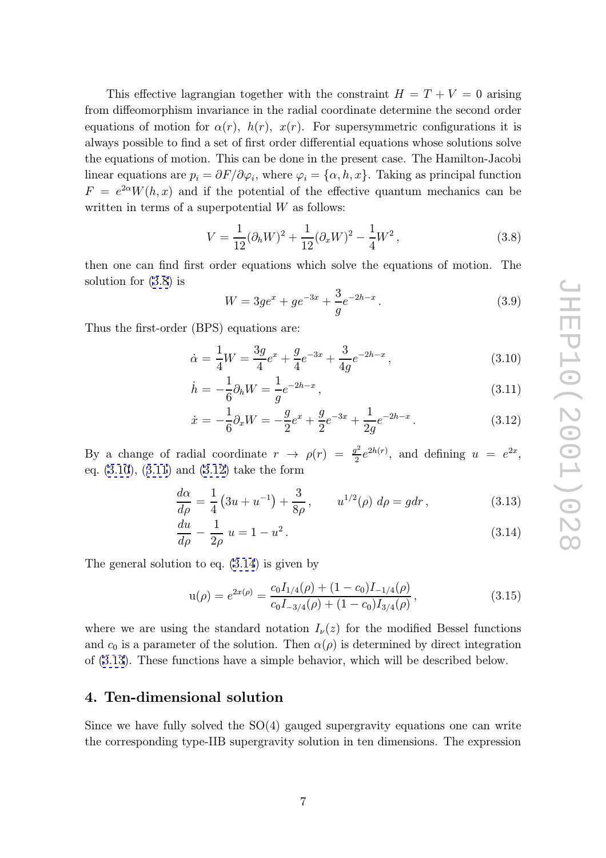<span id="page-8-0"></span>This effective lagrangian together with the constraint  $H = T + V = 0$  arising from diffeomorphism invariance in the radial coordinate determine the second order equations of motion for  $\alpha(r)$ ,  $h(r)$ ,  $x(r)$ . For supersymmetric configurations it is always possible to find a set of first order differential equations whose solutions solve the equations of motion. This can be done in the present case. The Hamilton-Jacobi linear equations are  $p_i = \frac{\partial F}{\partial \varphi_i}$ , where  $\varphi_i = {\alpha, h, x}$ . Taking as principal function  $F = e^{2\alpha}W(h,x)$  and if the potential of the effective quantum mechanics can be written in terms of a superpotential  $W$  as follows:

$$
V = \frac{1}{12} (\partial_h W)^2 + \frac{1}{12} (\partial_x W)^2 - \frac{1}{4} W^2,
$$
\n(3.8)

then one can find first order equations which solve the equations of motion. The solution for (3.8) is

$$
W = 3ge^{x} + ge^{-3x} + \frac{3}{g}e^{-2h-x}.
$$
\n(3.9)

Thus the first-order (BPS) equations are:

$$
\dot{\alpha} = \frac{1}{4}W = \frac{3g}{4}e^x + \frac{g}{4}e^{-3x} + \frac{3}{4g}e^{-2h-x},\tag{3.10}
$$

$$
\dot{h} = -\frac{1}{6}\partial_h W = \frac{1}{g}e^{-2h-x},\tag{3.11}
$$

$$
\dot{x} = -\frac{1}{6}\partial_x W = -\frac{g}{2}e^x + \frac{g}{2}e^{-3x} + \frac{1}{2g}e^{-2h-x}.
$$
\n(3.12)

By a change of radial coordinate  $r \rightarrow \rho(r) = \frac{g^2}{2}$  $\frac{q^2}{2}e^{2h(r)}$ , and defining  $u = e^{2x}$ , eq. (3.10), (3.11) and (3.12) take the form

$$
\frac{d\alpha}{d\rho} = \frac{1}{4} \left( 3u + u^{-1} \right) + \frac{3}{8\rho}, \qquad u^{1/2}(\rho) \ d\rho = g dr, \tag{3.13}
$$

$$
\frac{du}{d\rho} - \frac{1}{2\rho} u = 1 - u^2. \tag{3.14}
$$

The general solution to eq. (3.14) is given by

$$
u(\rho) = e^{2x(\rho)} = \frac{c_0 I_{1/4}(\rho) + (1 - c_0)I_{-1/4}(\rho)}{c_0 I_{-3/4}(\rho) + (1 - c_0)I_{3/4}(\rho)},
$$
\n(3.15)

where we are using the standard notation  $I_{\nu}(z)$  for the modified Bessel functions and  $c_0$  is a parameter of the solution. Then  $\alpha(\rho)$  is determined by direct integration of (3.13). These functions have a simple behavior, which will be described below.

### 4. Ten-dimensional solution

Since we have fully solved the  $SO(4)$  gauged supergravity equations one can write the corresponding type-IIB supergravity solution in ten dimensions. The expression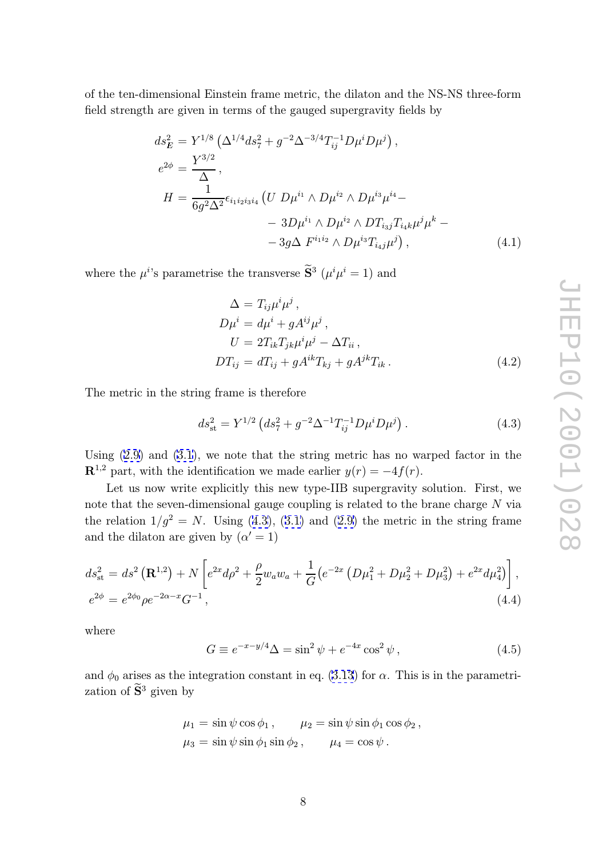<span id="page-9-0"></span>of the ten-dimensional Einstein frame metric, the dilaton and the NS-NS three-form field strength are given in terms of the gauged supergravity fields by

$$
ds_E^2 = Y^{1/8} \left( \Delta^{1/4} ds_7^2 + g^{-2} \Delta^{-3/4} T_{ij}^{-1} D \mu^i D \mu^j \right),
$$
  
\n
$$
e^{2\phi} = \frac{Y^{3/2}}{\Delta},
$$
  
\n
$$
H = \frac{1}{6g^2 \Delta^2} \epsilon_{i_1 i_2 i_3 i_4} \left( U D \mu^{i_1} \wedge D \mu^{i_2} \wedge D \mu^{i_3} \mu^{i_4} - \right.
$$
  
\n
$$
- 3D \mu^{i_1} \wedge D \mu^{i_2} \wedge D T_{i_3 j} T_{i_4 k} \mu^j \mu^k -
$$
  
\n
$$
- 3g \Delta F^{i_1 i_2} \wedge D \mu^{i_3} T_{i_4 j} \mu^j \right),
$$
\n(4.1)

where the  $\mu^{i}$ 's parametrise the transverse  $\hat{\mathbf{S}}^3$  ( $\mu^{i}\mu^{i} = 1$ ) and

$$
\Delta = T_{ij}\mu^i \mu^j ,
$$
  
\n
$$
D\mu^i = d\mu^i + gA^{ij}\mu^j ,
$$
  
\n
$$
U = 2T_{ik}T_{jk}\mu^i \mu^j - \Delta T_{ii} ,
$$
  
\n
$$
DT_{ij} = dT_{ij} + gA^{ik}T_{kj} + gA^{jk}T_{ik} .
$$
\n(4.2)

The metric in the string frame is therefore

$$
ds_{\rm st}^2 = Y^{1/2} \left( ds_7^2 + g^{-2} \Delta^{-1} T_{ij}^{-1} D \mu^i D \mu^j \right). \tag{4.3}
$$

Using ([2.9\)](#page-6-0) and [\(3.1](#page-6-0)), we note that the string metric has no warped factor in the  $\mathbb{R}^{1,2}$  part, with the identification we made earlier  $y(r) = -4f(r)$ .

Let us now write explicitly this new type-IIB supergravity solution. First, we note that the seven-dimensional gauge coupling is related to the brane charge N via the relation  $1/g^2 = N$ . Using (4.3), ([3.1\)](#page-6-0) and ([2.9\)](#page-6-0) the metric in the string frame and the dilaton are given by  $(\alpha' = 1)$ 

$$
ds_{\rm st}^{2} = ds^{2} (\mathbf{R}^{1,2}) + N \left[ e^{2x} d\rho^{2} + \frac{\rho}{2} w_{a} w_{a} + \frac{1}{G} (e^{-2x} \left( D\mu_{1}^{2} + D\mu_{2}^{2} + D\mu_{3}^{2} \right) + e^{2x} d\mu_{4}^{2} ) \right],
$$
  
\n
$$
e^{2\phi} = e^{2\phi_{0}} \rho e^{-2\alpha - x} G^{-1},
$$
\n(4.4)

where

$$
G \equiv e^{-x-y/4} \Delta = \sin^2 \psi + e^{-4x} \cos^2 \psi , \qquad (4.5)
$$

and  $\phi_0$  arises as the integration constant in eq. [\(3.13](#page-8-0)) for  $\alpha$ . This is in the parametrization of  $\widetilde{\mathbf{S}}^3$  given by

$$
\mu_1 = \sin \psi \cos \phi_1, \qquad \mu_2 = \sin \psi \sin \phi_1 \cos \phi_2, \n\mu_3 = \sin \psi \sin \phi_1 \sin \phi_2, \qquad \mu_4 = \cos \psi.
$$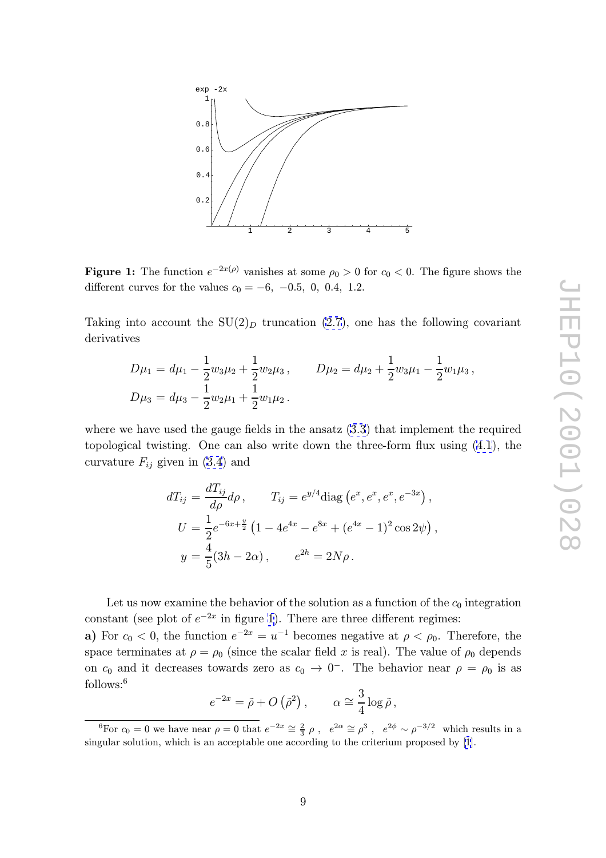

**Figure 1:** The function  $e^{-2x(\rho)}$  vanishes at some  $\rho_0 > 0$  for  $c_0 < 0$ . The figure shows the different curves for the values  $c_0 = -6$ ,  $-0.5$ , 0, 0.4, 1.2.

Taking into account the  $SU(2)_D$  truncation [\(2.7](#page-5-0)), one has the following covariant derivatives

$$
D\mu_1 = d\mu_1 - \frac{1}{2}w_3\mu_2 + \frac{1}{2}w_2\mu_3, \qquad D\mu_2 = d\mu_2 + \frac{1}{2}w_3\mu_1 - \frac{1}{2}w_1\mu_3,
$$
  

$$
D\mu_3 = d\mu_3 - \frac{1}{2}w_2\mu_1 + \frac{1}{2}w_1\mu_2.
$$

where we have used the gauge fields in the ansatz  $(3.3)$  $(3.3)$  that implement the required topological twisting. One can also write down the three-form flux using [\(4.1](#page-9-0)), the curvature  $F_{ij}$  given in [\(3.4](#page-7-0)) and

$$
dT_{ij} = \frac{dT_{ij}}{d\rho} d\rho, \qquad T_{ij} = e^{y/4} \text{diag} (e^x, e^x, e^x, e^{-3x}),
$$
  
\n
$$
U = \frac{1}{2} e^{-6x + \frac{y}{2}} \left( 1 - 4e^{4x} - e^{8x} + (e^{4x} - 1)^2 \cos 2\psi \right),
$$
  
\n
$$
y = \frac{4}{5} (3h - 2\alpha), \qquad e^{2h} = 2N\rho.
$$

Let us now examine the behavior of the solution as a function of the  $c_0$  integration constant (see plot of  $e^{-2x}$  in figure 1). There are three different regimes:

a) For  $c_0 < 0$ , the function  $e^{-2x} = u^{-1}$  becomes negative at  $\rho < \rho_0$ . Therefore, the space terminates at  $\rho = \rho_0$  (since the scalar field x is real). The value of  $\rho_0$  depends on  $c_0$  and it decreases towards zero as  $c_0 \to 0^-$ . The behavior near  $\rho = \rho_0$  is as follows: 6

$$
e^{-2x} = \tilde{\rho} + O(\tilde{\rho}^2), \qquad \alpha \cong \frac{3}{4} \log \tilde{\rho},
$$

<sup>&</sup>lt;sup>6</sup>For  $c_0 = 0$  we have near  $\rho = 0$  that  $e^{-2x} \approx \frac{2}{3} \rho$ ,  $e^{2\alpha} \approx \rho^3$ ,  $e^{2\phi} \sim \rho^{-3/2}$  which results in a singular solution, which is an acceptable one according to the criterium proposed by [\[1](#page-16-0)].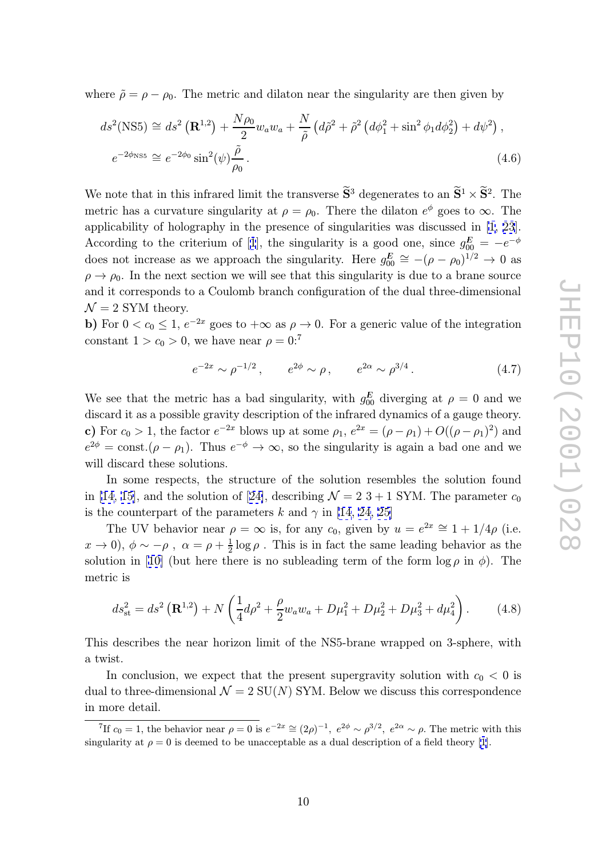<span id="page-11-0"></span>where  $\tilde{\rho} = \rho - \rho_0$ . The metric and dilaton near the singularity are then given by

$$
ds^{2}(\text{NS5}) \cong ds^{2}(\mathbf{R}^{1,2}) + \frac{N\rho_{0}}{2}w_{a}w_{a} + \frac{N}{\tilde{\rho}}\left(d\tilde{\rho}^{2} + \tilde{\rho}^{2}\left(d\phi_{1}^{2} + \sin^{2}\phi_{1}d\phi_{2}^{2}\right) + d\psi^{2}\right),
$$
  
\n
$$
e^{-2\phi_{\text{NS5}}} \cong e^{-2\phi_{0}}\sin^{2}(\psi)\frac{\tilde{\rho}}{\rho_{0}}.
$$
\n(4.6)

We note that in this infrared limit the transverse  $\tilde{S}^3$  degenerates to an  $\tilde{S}^1 \times \tilde{S}^2$ . The metric has a curvature singularity at  $\rho = \rho_0$ . There the dilaton  $e^{\phi}$  goes to  $\infty$ . The applicability of holography in the presence of singularities was discussed in [\[1](#page-16-0), [23](#page-17-0)]. According to the criterium of [[1](#page-16-0)], the singularity is a good one, since  $g_{00}^E = -e^{-\phi}$ does not increase as we approach the singularity. Here  $g_{00}^E \cong -(\rho - \rho_0)^{1/2} \to 0$  as  $\rho \to \rho_0$ . In the next section we will see that this singularity is due to a brane source and it corresponds to a Coulomb branch configuration of the dual three-dimensional  $\mathcal{N}=2$  SYM theory.

b) For  $0 < c_0 \le 1$ ,  $e^{-2x}$  goes to  $+\infty$  as  $\rho \to 0$ . For a generic value of the integration constant  $1 > c_0 > 0$ , we have near  $\rho = 0$ :<sup>7</sup>

$$
e^{-2x} \sim \rho^{-1/2}
$$
,  $e^{2\phi} \sim \rho$ ,  $e^{2\alpha} \sim \rho^{3/4}$ . (4.7)

We see that the metric has a bad singularity, with  $g_{00}^E$  diverging at  $\rho = 0$  and we discard it as a possible gravity description of the infrared dynamics of a gauge theory. c) For  $c_0 > 1$ , the factor  $e^{-2x}$  blows up at some  $\rho_1$ ,  $e^{2x} = (\rho - \rho_1) + O((\rho - \rho_1)^2)$  and  $e^{2\phi} = \text{const.}(\rho - \rho_1)$ . Thus  $e^{-\phi} \to \infty$ , so the singularity is again a bad one and we will discard these solutions.

In some respects, the structure of the solution resembles the solution found in [\[14, 15\]](#page-17-0), and the solution of [[24\]](#page-17-0), describing  $\mathcal{N}=2$  3 + 1 SYM. The parameter  $c_0$ is the counterpart of the parameters k and  $\gamma$  in [\[14](#page-17-0), [24, 25\]](#page-17-0)

The UV behavior near  $\rho = \infty$  is, for any  $c_0$ , given by  $u = e^{2x} \approx 1 + 1/4\rho$  (i.e.  $x \to 0$ ),  $\phi \sim -\rho$ ,  $\alpha = \rho + \frac{1}{2} \log \rho$ . This is in fact the same leading behavior as the solution in [[10\]](#page-16-0) (but here there is no subleading term of the form  $\log \rho$  in  $\phi$ ). The metric is

$$
ds_{\rm st}^2 = ds^2 \left( \mathbf{R}^{1,2} \right) + N \left( \frac{1}{4} d\rho^2 + \frac{\rho}{2} w_a w_a + D\mu_1^2 + D\mu_2^2 + D\mu_3^2 + d\mu_4^2 \right). \tag{4.8}
$$

This describes the near horizon limit of the NS5-brane wrapped on 3-sphere, with a twist.

In conclusion, we expect that the present supergravity solution with  $c_0 < 0$  is dual to three-dimensional  $\mathcal{N}=2$  SU(N) SYM. Below we discuss this correspondence in more detail.

<sup>&</sup>lt;sup>7</sup>If  $c_0 = 1$ , the behavior near  $\rho = 0$  is  $e^{-2x} \cong (2\rho)^{-1}$ ,  $e^{2\phi} \sim \rho^{3/2}$ ,  $e^{2\alpha} \sim \rho$ . The metric with this singularity at  $\rho = 0$  is deemed to be unacceptable as a dual description of a field theory [\[1](#page-16-0)].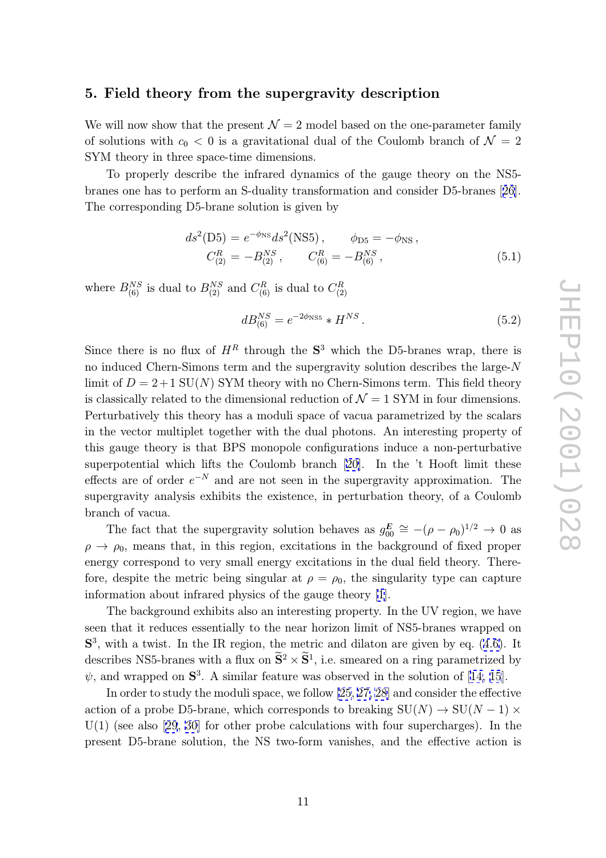### <span id="page-12-0"></span>5. Field theory from the supergravity description

We will now show that the present  $\mathcal{N}=2$  model based on the one-parameter family of solutions with  $c_0 < 0$  is a gravitational dual of the Coulomb branch of  $\mathcal{N} = 2$ SYM theory in three space-time dimensions.

To properly describe the infrared dynamics of the gauge theory on the NS5 branes one has to perform an S-duality transformation and consider D5-branes [[26](#page-17-0)]. The corresponding D5-brane solution is given by

$$
ds^{2}(D5) = e^{-\phi_{NS}}ds^{2}(NS5), \qquad \phi_{DS} = -\phi_{NS},
$$
  
\n
$$
C_{(2)}^{R} = -B_{(2)}^{NS}, \qquad C_{(6)}^{R} = -B_{(6)}^{NS},
$$
\n(5.1)

where  $B_{(6)}^{NS}$  is dual to  $B_{(2)}^{NS}$  and  $C_{(6)}^R$  is dual to  $C_{(2)}^R$ 

$$
dB_{(6)}^{NS} = e^{-2\phi_{\rm NS5}} * H^{NS}.
$$
\n(5.2)

Since there is no flux of  $H^R$  through the  $S^3$  which the D5-branes wrap, there is no induced Chern-Simons term and the supergravity solution describes the large-N limit of  $D = 2+1$  SU(N) SYM theory with no Chern-Simons term. This field theory is classically related to the dimensional reduction of  $\mathcal{N}=1$  SYM in four dimensions. Perturbatively this theory has a moduli space of vacua parametrized by the scalars in the vector multiplet together with the dual photons. An interesting property of this gauge theory is that BPS monopole configurations induce a non-perturbative superpotential which lifts the Coulomb branch [\[20\]](#page-17-0). In the 't Hooft limit these effects are of order  $e^{-N}$  and are not seen in the supergravity approximation. The supergravity analysis exhibits the existence, in perturbation theory, of a Coulomb branch of vacua.

The fact that the supergravity solution behaves as  $g_{00}^E \approx -(\rho - \rho_0)^{1/2} \rightarrow 0$  as  $\rho \to \rho_0$ , means that, in this region, excitations in the background of fixed proper energy correspond to very small energy excitations in the dual field theory. Therefore, despite the metric being singular at  $\rho = \rho_0$ , the singularity type can capture information about infrared physics of the gauge theory [\[1](#page-16-0)].

The background exhibits also an interesting property. In the UV region, we have seen that it reduces essentially to the near horizon limit of NS5-branes wrapped on  $S<sup>3</sup>$ , with a twist. In the IR region, the metric and dilaton are given by eq. ([4.6\)](#page-11-0). It describes NS5-branes with a flux on  $S^2 \times S^1$ , i.e. smeared on a ring parametrized by  $\psi$ , and wrapped on  $S^3$ . A similar feature was observed in the solution of [[14, 15](#page-17-0)].

In order to study the moduli space, we follow [\[25](#page-17-0), [27, 28](#page-17-0)] and consider the effective action of a probe D5-brane, which corresponds to breaking  $SU(N) \to SU(N-1) \times$  $U(1)$  (see also [[29](#page-18-0), [30\]](#page-18-0) for other probe calculations with four supercharges). In the present D5-brane solution, the NS two-form vanishes, and the effective action is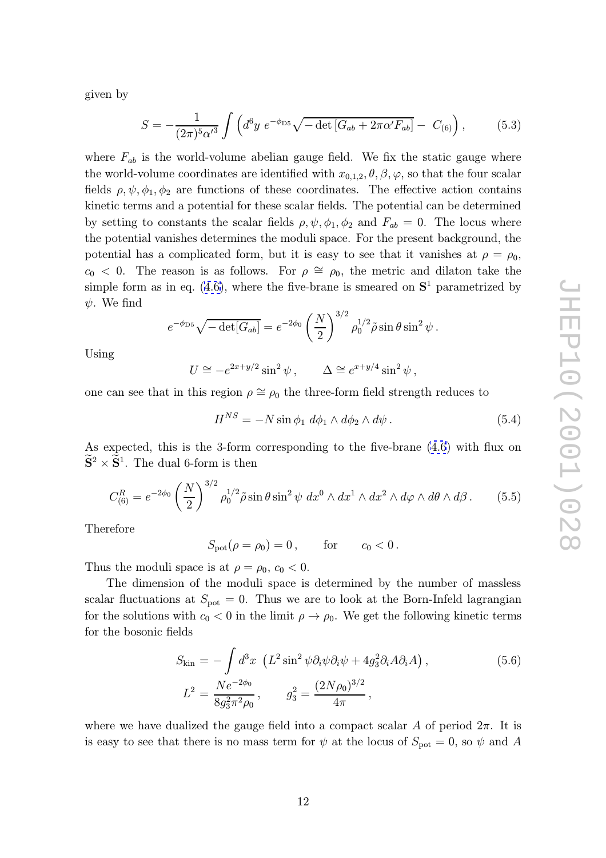given by

$$
S = -\frac{1}{(2\pi)^5 \alpha'^3} \int \left( d^6 y \ e^{-\phi_{\rm D5}} \sqrt{-\det \left[ G_{ab} + 2\pi \alpha' F_{ab} \right]} - C_{(6)} \right), \tag{5.3}
$$

where  $F_{ab}$  is the world-volume abelian gauge field. We fix the static gauge where the world-volume coordinates are identified with  $x_{0,1,2}, \theta, \beta, \varphi$ , so that the four scalar fields  $\rho, \psi, \phi_1, \phi_2$  are functions of these coordinates. The effective action contains kinetic terms and a potential for these scalar fields. The potential can be determined by setting to constants the scalar fields  $\rho, \psi, \phi_1, \phi_2$  and  $F_{ab} = 0$ . The locus where the potential vanishes determines the moduli space. For the present background, the potential has a complicated form, but it is easy to see that it vanishes at  $\rho = \rho_0$ ,  $c_0 < 0$ . The reason is as follows. For  $\rho \cong \rho_0$ , the metric and dilaton take the simple form as in eq.  $(4.6)$  $(4.6)$ , where the five-brane is smeared on  $S<sup>1</sup>$  parametrized by  $\psi$ . We find

$$
e^{-\phi_{\text{D5}}} \sqrt{-\det[G_{ab}]} = e^{-2\phi_0} \left(\frac{N}{2}\right)^{3/2} \rho_0^{1/2} \tilde{\rho} \sin \theta \sin^2 \psi.
$$

Using

e

$$
U \cong -e^{2x+y/2}\sin^2\psi \,, \qquad \Delta \cong e^{x+y/4}\sin^2\psi \,,
$$

one can see that in this region  $\rho \cong \rho_0$  the three-form field strength reduces to

$$
H^{NS} = -N\sin\phi_1 \ d\phi_1 \wedge d\phi_2 \wedge d\psi \,. \tag{5.4}
$$

As expected, this is the 3-form corresponding to the five-brane [\(4.6](#page-11-0)) with flux on  $\widetilde{\mathbf{S}}^2 \times \widetilde{\mathbf{S}}^1$ . The dual 6-form is then

$$
C_{(6)}^R = e^{-2\phi_0} \left(\frac{N}{2}\right)^{3/2} \rho_0^{1/2} \tilde{\rho} \sin \theta \sin^2 \psi \, dx^0 \wedge dx^1 \wedge dx^2 \wedge d\varphi \wedge d\theta \wedge d\beta. \tag{5.5}
$$

Therefore

$$
S_{\text{pot}}(\rho = \rho_0) = 0, \qquad \text{for} \qquad c_0 < 0 \, .
$$

Thus the moduli space is at  $\rho = \rho_0, c_0 < 0$ .

The dimension of the moduli space is determined by the number of massless scalar fluctuations at  $S_{\text{pot}} = 0$ . Thus we are to look at the Born-Infeld lagrangian for the solutions with  $c_0 < 0$  in the limit  $\rho \to \rho_0$ . We get the following kinetic terms for the bosonic fields

$$
S_{\rm kin} = -\int d^3x \left( L^2 \sin^2 \psi \partial_i \psi \partial_i \psi + 4g_3^2 \partial_i A \partial_i A \right),
$$
  
\n
$$
L^2 = \frac{Ne^{-2\phi_0}}{8g_3^2 \pi^2 \rho_0}, \qquad g_3^2 = \frac{(2N\rho_0)^{3/2}}{4\pi},
$$
\n(5.6)

where we have dualized the gauge field into a compact scalar A of period  $2\pi$ . It is is easy to see that there is no mass term for  $\psi$  at the locus of  $S_{\text{pot}} = 0$ , so  $\psi$  and A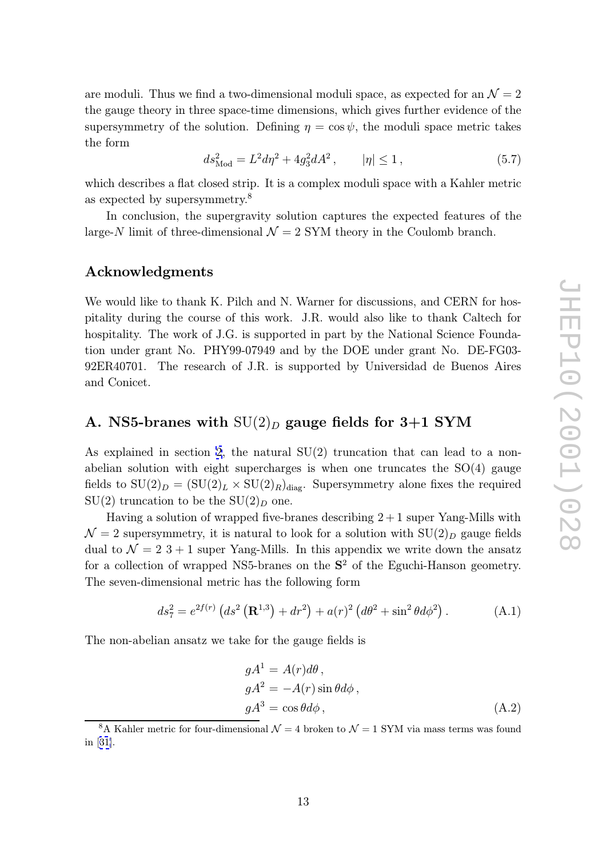<span id="page-14-0"></span>are moduli. Thus we find a two-dimensional moduli space, as expected for an  $\mathcal{N}=2$ the gauge theory in three space-time dimensions, which gives further evidence of the supersymmetry of the solution. Defining  $\eta = \cos \psi$ , the moduli space metric takes the form

$$
ds_{\text{Mod}}^2 = L^2 d\eta^2 + 4g_3^2 dA^2, \qquad |\eta| \le 1, \tag{5.7}
$$

which describes a flat closed strip. It is a complex moduli space with a Kahler metric as expected by supersymmetry. 8

In conclusion, the supergravity solution captures the expected features of the large-N limit of three-dimensional  $\mathcal{N}=2$  SYM theory in the Coulomb branch.

### Acknowledgments

We would like to thank K. Pilch and N. Warner for discussions, and CERN for hospitality during the course of this work. J.R. would also like to thank Caltech for hospitality. The work of J.G. is supported in part by the National Science Foundation under grant No. PHY99-07949 and by the DOE under grant No. DE-FG03- 92ER40701. The research of J.R. is supported by Universidad de Buenos Aires and Conicet.

## A. NS5-branes with  $\mathrm{SU}(2)_D$  gauge fields for 3+1 SYM

As explained in section [2](#page-3-0), the natural SU(2) truncation that can lead to a nonabelian solution with eight supercharges is when one truncates the SO(4) gauge fields to  $SU(2)_D = (SU(2)_L \times SU(2)_R)_{diag}$ . Supersymmetry alone fixes the required  $SU(2)$  truncation to be the  $SU(2)_D$  one.

Having a solution of wrapped five-branes describing  $2+1$  super Yang-Mills with  $\mathcal{N} = 2$  supersymmetry, it is natural to look for a solution with  $SU(2)_D$  gauge fields dual to  $\mathcal{N}=2$  3 + 1 super Yang-Mills. In this appendix we write down the ansatz for a collection of wrapped NS5-branes on the  $S<sup>2</sup>$  of the Eguchi-Hanson geometry. The seven-dimensional metric has the following form

$$
ds_7^2 = e^{2f(r)} \left( ds^2 \left( \mathbf{R}^{1,3} \right) + dr^2 \right) + a(r)^2 \left( d\theta^2 + \sin^2 \theta d\phi^2 \right). \tag{A.1}
$$

The non-abelian ansatz we take for the gauge fields is

$$
gA1 = A(r)d\theta,
$$
  
\n
$$
gA2 = -A(r)\sin\theta d\phi,
$$
  
\n
$$
gA3 = \cos\theta d\phi,
$$
\n(A.2)

<sup>&</sup>lt;sup>8</sup>A Kahler metric for four-dimensional  $\mathcal{N}=4$  broken to  $\mathcal{N}=1$  SYM via mass terms was found in [[31\]](#page-18-0).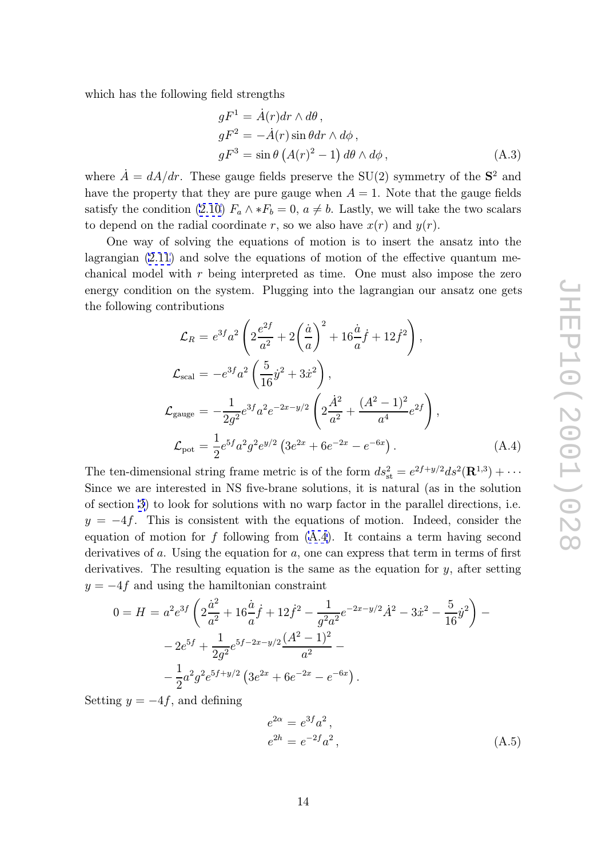which has the following field strengths

$$
gF^1 = \dot{A}(r)dr \wedge d\theta,
$$
  
\n
$$
gF^2 = -\dot{A}(r)\sin\theta dr \wedge d\phi,
$$
  
\n
$$
gF^3 = \sin\theta (A(r)^2 - 1) d\theta \wedge d\phi,
$$
\n(A.3)

where  $\dot{A} = dA/dr$ . These gauge fields preserve the SU(2) symmetry of the  $S^2$  and have the property that they are pure gauge when  $A = 1$ . Note that the gauge fields satisfy the condition [\(2.10\)](#page-6-0)  $F_a \wedge *F_b = 0$ ,  $a \neq b$ . Lastly, we will take the two scalars to depend on the radial coordinate r, so we also have  $x(r)$  and  $y(r)$ .

One way of solving the equations of motion is to insert the ansatz into the lagrangian [\(2.11](#page-6-0)) and solve the equations of motion of the effective quantum mechanical model with r being interpreted as time. One must also impose the zero energy condition on the system. Plugging into the lagrangian our ansatz one gets the following contributions

$$
\mathcal{L}_{R} = e^{3f}a^{2} \left( 2\frac{e^{2f}}{a^{2}} + 2\left(\frac{\dot{a}}{a}\right)^{2} + 16\frac{\dot{a}}{a}\dot{f} + 12\dot{f}^{2} \right),
$$
\n
$$
\mathcal{L}_{\text{scal}} = -e^{3f}a^{2} \left( \frac{5}{16}\dot{y}^{2} + 3\dot{x}^{2} \right),
$$
\n
$$
\mathcal{L}_{\text{gauge}} = -\frac{1}{2g^{2}}e^{3f}a^{2}e^{-2x-y/2} \left( 2\frac{\dot{A}^{2}}{a^{2}} + \frac{(A^{2} - 1)^{2}}{a^{4}}e^{2f} \right),
$$
\n
$$
\mathcal{L}_{\text{pot}} = \frac{1}{2}e^{5f}a^{2}g^{2}e^{y/2} \left( 3e^{2x} + 6e^{-2x} - e^{-6x} \right).
$$
\n(A.4)

The ten-dimensional string frame metric is of the form  $ds_{\text{st}}^2 = e^{2f+y/2}ds^2(\mathbf{R}^{1,3}) + \cdots$ Since we are interested in NS five-brane solutions, it is natural (as in the solution of section [3](#page-6-0)) to look for solutions with no warp factor in the parallel directions, i.e.  $y = -4f$ . This is consistent with the equations of motion. Indeed, consider the equation of motion for  $f$  following from  $(A.4)$ . It contains a term having second derivatives of a. Using the equation for a, one can express that term in terms of first derivatives. The resulting equation is the same as the equation for  $y$ , after setting  $y = -4f$  and using the hamiltonian constraint

$$
0 = H = a^2 e^{3f} \left( 2 \frac{\dot{a}^2}{a^2} + 16 \frac{\dot{a}}{a} \dot{f} + 12 \dot{f}^2 - \frac{1}{g^2 a^2} e^{-2x - y/2} \dot{A}^2 - 3 \dot{x}^2 - \frac{5}{16} \dot{y}^2 \right) -
$$
  

$$
- 2 e^{5f} + \frac{1}{2g^2} e^{5f - 2x - y/2} \frac{(A^2 - 1)^2}{a^2} -
$$
  

$$
- \frac{1}{2} a^2 g^2 e^{5f + y/2} \left( 3e^{2x} + 6e^{-2x} - e^{-6x} \right).
$$

Setting  $y = -4f$ , and defining

$$
e^{2\alpha} = e^{3f} a^2,
$$
  
\n
$$
e^{2h} = e^{-2f} a^2,
$$
\n(A.5)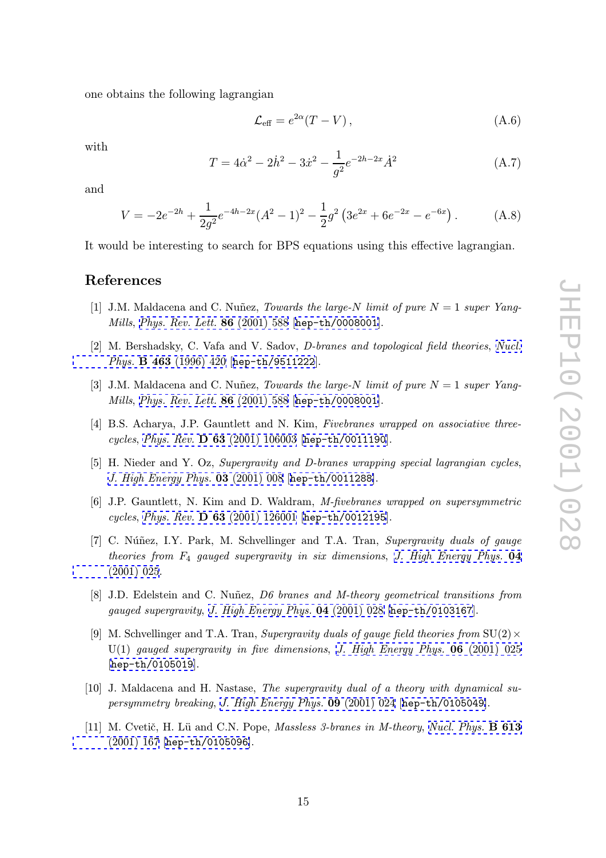<span id="page-16-0"></span>one obtains the following lagrangian

$$
\mathcal{L}_{\text{eff}} = e^{2\alpha} (T - V) \,, \tag{A.6}
$$

with

$$
T = 4\dot{\alpha}^2 - 2\dot{h}^2 - 3\dot{x}^2 - \frac{1}{g^2}e^{-2h-2x}\dot{A}^2
$$
 (A.7)

and

$$
V = -2e^{-2h} + \frac{1}{2g^2}e^{-4h-2x}(A^2 - 1)^2 - \frac{1}{2}g^2(3e^{2x} + 6e^{-2x} - e^{-6x}).
$$
 (A.8)

It would be interesting to search for BPS equations using this effective lagrangian.

### References

- [1] J.M. Maldacena and C. Nuñez, *Towards the large-N limit of pure*  $N = 1$  super Yang-Mills, [Phys. Rev. Lett.](http://www-spires.slac.stanford.edu/spires/find/hep/www?j=PRLTA%2C86%2C588) 86 (2001) 588 [[hep-th/0008001](http://xxx.lanl.gov/abs/hep-th/0008001)].
- [2] M. Bershadsky, C. Vafa and V. Sadov, *D*-branes and topological field theories, [Nucl.](http://www-spires.slac.stanford.edu/spires/find/hep/www?j=NUPHA%2CB463%2C420) Phys. B 463 [\(1996\) 420](http://www-spires.slac.stanford.edu/spires/find/hep/www?j=NUPHA%2CB463%2C420) [[hep-th/9511222](http://xxx.lanl.gov/abs/hep-th/9511222)].
- [3] J.M. Maldacena and C. Nuñez, *Towards the large-N limit of pure*  $N = 1$  super Yang-Mills, [Phys. Rev. Lett.](http://www-spires.slac.stanford.edu/spires/find/hep/www?j=PRLTA%2C86%2C588) 86 (2001) 588 [[hep-th/0008001](http://xxx.lanl.gov/abs/hep-th/0008001)].
- [4] B.S. Acharya, J.P. Gauntlett and N. Kim, Fivebranes wrapped on associative threecycles, Phys. Rev. D 63 [\(2001\) 106003](http://www-spires.slac.stanford.edu/spires/find/hep/www?j=PHRVA%2CD63%2C106003) [[hep-th/0011190](http://xxx.lanl.gov/abs/hep-th/0011190)].
- [5] H. Nieder and Y. Oz, Supergravity and D-branes wrapping special lagrangian cycles, [J. High Energy Phys.](http://jhep.sissa.it/stdsearch?paper=03%282001%29008) 03 (2001) 008 [[hep-th/0011288](http://xxx.lanl.gov/abs/hep-th/0011288)].
- [6] J.P. Gauntlett, N. Kim and D. Waldram, M-fivebranes wrapped on supersymmetric cycles , Phys. Rev. D 63 [\(2001\) 126001](http://www-spires.slac.stanford.edu/spires/find/hep/www?j=PHRVA%2CD63%2C126001) [[hep-th/0012195](http://xxx.lanl.gov/abs/hep-th/0012195)].
- [7] C. Núñez, I.Y. Park, M. Schvellinger and T.A. Tran, Supergravity duals of gauge theories from  $F_4$  gauged supergravity in six dimensions, [J. High Energy Phys.](http://jhep.sissa.it/stdsearch?paper=04%282001%29025) **04**<br>(2001)  $\Omega$ [\(2001\) 025](http://jhep.sissa.it/stdsearch?paper=04%282001%29025).
- [8] J.D. Edelstein and C. Nuñez, D6 branes and M-theory geometrical transitions from gauged supergravity , [J. High Energy Phys.](http://jhep.sissa.it/stdsearch?paper=04%282001%29028) 04 (2001) 028 [[hep-th/0103167](http://xxx.lanl.gov/abs/hep-th/0103167)].
- [9] M. Schvellinger and T.A. Tran, Supergravity duals of gauge field theories from  $SU(2) \times$  $U(1)$  gauged supergravity in five dimensions, [J. High Energy Phys.](http://jhep.sissa.it/stdsearch?paper=06%282001%29025) **06** (2001) 025 [[hep-th/0105019](http://xxx.lanl.gov/abs/hep-th/0105019)].
- [10] J. Maldacena and H. Nastase, The supergravity dual of a theory with dynamical supersymmetry breaking, [J. High Energy Phys.](http://jhep.sissa.it/stdsearch?paper=09%282001%29024) 09 (2001) 024 [[hep-th/0105049](http://xxx.lanl.gov/abs/hep-th/0105049)].
- [11] M. Cvetič, H. Lü and C.N. Pope, *Massless 3-branes in M-theory*, *[Nucl. Phys.](http://www-spires.slac.stanford.edu/spires/find/hep/www?j=NUPHA%2CB613%2C167)* **B 613**  $(2001)$  167 km +  $(010500c)$ [\(2001\) 167](http://www-spires.slac.stanford.edu/spires/find/hep/www?j=NUPHA%2CB613%2C167) [[hep-th/0105096](http://xxx.lanl.gov/abs/hep-th/0105096)].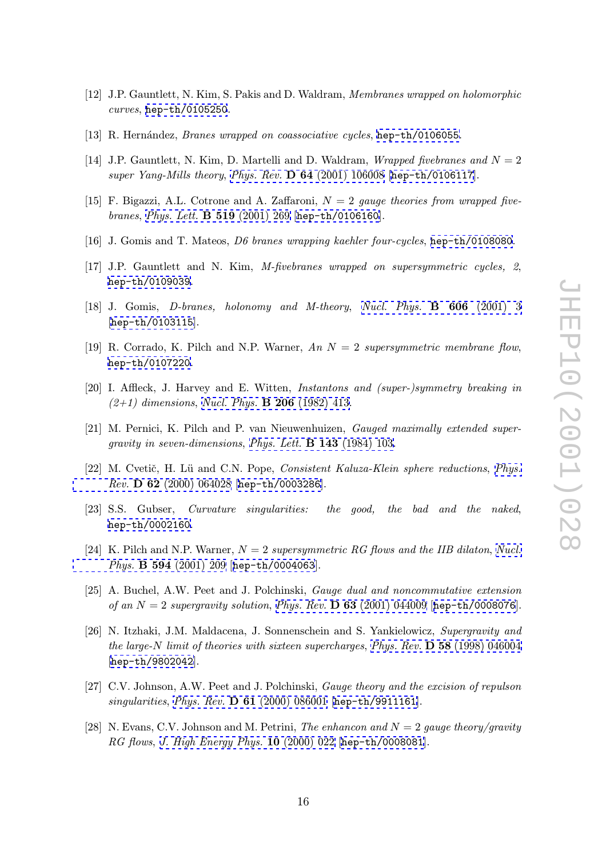- <span id="page-17-0"></span>[12] J.P. Gauntlett, N. Kim, S. Pakis and D. Waldram, Membranes wrapped on holomorphic curves , [hep-th/0105250](http://xxx.lanl.gov/abs/hep-th/0105250) .
- [13] R. Hernández, *Branes wrapped on coassociative cycles*, [hep-th/0106055](http://xxx.lanl.gov/abs/hep-th/0106055).
- [14] J.P. Gauntlett, N. Kim, D. Martelli and D. Waldram, *Wrapped fivebranes and*  $N = 2$ super Yang-Mills theory , Phys. Rev. D 64 [\(2001\) 106008](http://www-spires.slac.stanford.edu/spires/find/hep/www?j=PHRVA%2CD64%2C106008) [[hep-th/0106117](http://xxx.lanl.gov/abs/hep-th/0106117)].
- [15] F. Bigazzi, A.L. Cotrone and A. Zaffaroni,  $N = 2$  gauge theories from wrapped fivebranes, [Phys. Lett.](http://www-spires.slac.stanford.edu/spires/find/hep/www?j=PHLTA%2CB519%2C269) B 519 (2001) 269 [[hep-th/0106160](http://xxx.lanl.gov/abs/hep-th/0106160)].
- [16] J. Gomis and T. Mateos, *D6 branes wrapping kaehler four-cycles*, [hep-th/0108080](http://xxx.lanl.gov/abs/hep-th/0108080).
- [17] J.P. Gauntlett and N. Kim, M-fivebranes wrapped on supersymmetric cycles, 2, [hep-th/0109039](http://xxx.lanl.gov/abs/hep-th/0109039) .
- [18] J. Gomis, *D*-branes, holonomy and *M*-theory, *[Nucl. Phys.](http://www-spires.slac.stanford.edu/spires/find/hep/www?j=NUPHA%2CB606%2C3)* **B** 606 (2001) 3 [[hep-th/0103115](http://xxx.lanl.gov/abs/hep-th/0103115)].
- [19] R. Corrado, K. Pilch and N.P. Warner, An  $N = 2$  supersymmetric membrane flow, [hep-th/0107220](http://xxx.lanl.gov/abs/hep-th/0107220) .
- [20] I. Affleck, J. Harvey and E. Witten, *Instantons and (super-)symmetry breaking in*  $(2+1)$  dimensions, [Nucl. Phys.](http://www-spires.slac.stanford.edu/spires/find/hep/www?j=NUPHA%2CB206%2C413) **B** 206 (1982) 413.
- [21] M. Pernici, K. Pilch and P. van Nieuwenhuizen, Gauged maximally extended supergravity in seven-dimensions, [Phys. Lett.](http://www-spires.slac.stanford.edu/spires/find/hep/www?j=PHLTA%2CB143%2C103) B 143 (1984) 103.
- [22] M. Cvetič, H. Lü and C.N. Pope, Consistent Kaluza-Klein sphere reductions, [Phys.](http://www-spires.slac.stanford.edu/spires/find/hep/www?j=PHRVA%2CD62%2C064028) Rev. D 62 [\(2000\) 064028](http://www-spires.slac.stanford.edu/spires/find/hep/www?j=PHRVA%2CD62%2C064028) [[hep-th/0003286](http://xxx.lanl.gov/abs/hep-th/0003286)].
- [23] S.S. Gubser, *Curvature singularities:* the good, the bad and the naked, [hep-th/0002160](http://xxx.lanl.gov/abs/hep-th/0002160) .
- [24] K. Pilch and N.P. Warner,  $N = 2$  supersymmetric RG flows and the IIB dilaton, [Nucl.](http://www-spires.slac.stanford.edu/spires/find/hep/www?j=NUPHA%2CB594%2C209) Phys. B 594 [\(2001\) 209](http://www-spires.slac.stanford.edu/spires/find/hep/www?j=NUPHA%2CB594%2C209) [[hep-th/0004063](http://xxx.lanl.gov/abs/hep-th/0004063)].
- [25] A. Buchel, A.W. Peet and J. Polchinski, Gauge dual and noncommutative extension of an  $N = 2$  supergravity solution, Phys. Rev. **D 63** [\(2001\) 044009](http://www-spires.slac.stanford.edu/spires/find/hep/www?j=PHRVA%2CD63%2C044009) [[hep-th/0008076](http://xxx.lanl.gov/abs/hep-th/0008076)].
- [26] N. Itzhaki, J.M. Maldacena, J. Sonnenschein and S. Yankielowicz, Supergravity and the large-N limit of theories with sixteen supercharges, Phys. Rev. **D 58** [\(1998\) 046004](http://www-spires.slac.stanford.edu/spires/find/hep/www?j=PHRVA%2CD58%2C046004) [[hep-th/9802042](http://xxx.lanl.gov/abs/hep-th/9802042)].
- [27] C.V. Johnson, A.W. Peet and J. Polchinski, Gauge theory and the excision of repulson singularities, *Phys. Rev.* **D 61** [\(2000\) 086001](http://www-spires.slac.stanford.edu/spires/find/hep/www?j=PHRVA%2CD61%2C086001) [[hep-th/9911161](http://xxx.lanl.gov/abs/hep-th/9911161)].
- [28] N. Evans, C.V. Johnson and M. Petrini, The enhancon and  $N = 2$  gauge theory/gravity RG flows , [J. High Energy Phys.](http://jhep.sissa.it/stdsearch?paper=10%282000%29022) 10 (2000) 022 [[hep-th/0008081](http://xxx.lanl.gov/abs/hep-th/0008081)].